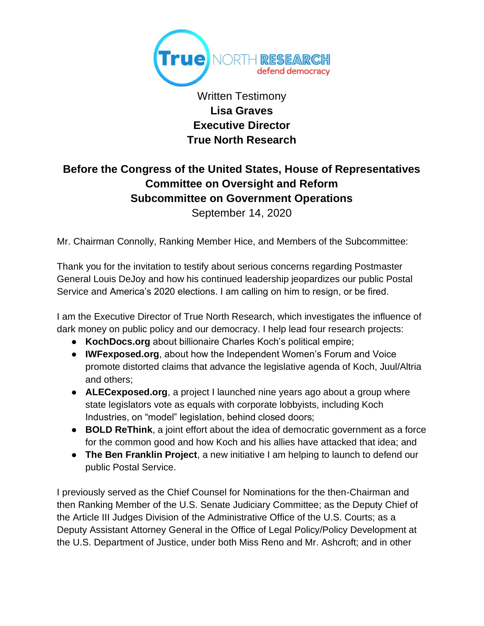

Written Testimony **Lisa Graves Executive Director True North Research**

# **Before the Congress of the United States, House of Representatives Committee on Oversight and Reform Subcommittee on Government Operations**

September 14, 2020

Mr. Chairman Connolly, Ranking Member Hice, and Members of the Subcommittee:

Thank you for the invitation to testify about serious concerns regarding Postmaster General Louis DeJoy and how his continued leadership jeopardizes our public Postal Service and America's 2020 elections. I am calling on him to resign, or be fired.

I am the Executive Director of True North Research, which investigates the influence of dark money on public policy and our democracy. I help lead four research projects:

- **KochDocs.org** about billionaire Charles Koch's political empire;
- **IWFexposed.org**, about how the Independent Women's Forum and Voice promote distorted claims that advance the legislative agenda of Koch, Juul/Altria and others;
- **ALECexposed.org**, a project I launched nine years ago about a group where state legislators vote as equals with corporate lobbyists, including Koch Industries, on "model" legislation, behind closed doors;
- **BOLD ReThink**, a joint effort about the idea of democratic government as a force for the common good and how Koch and his allies have attacked that idea; and
- **The Ben Franklin Project**, a new initiative I am helping to launch to defend our public Postal Service.

I previously served as the Chief Counsel for Nominations for the then-Chairman and then Ranking Member of the U.S. Senate Judiciary Committee; as the Deputy Chief of the Article III Judges Division of the Administrative Office of the U.S. Courts; as a Deputy Assistant Attorney General in the Office of Legal Policy/Policy Development at the U.S. Department of Justice, under both Miss Reno and Mr. Ashcroft; and in other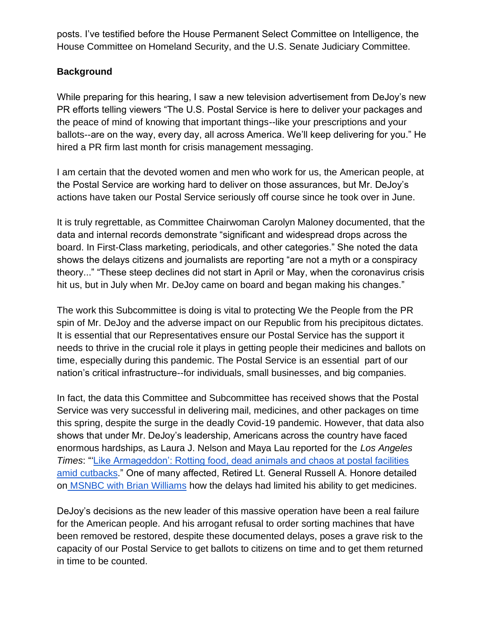posts. I've testified before the House Permanent Select Committee on Intelligence, the House Committee on Homeland Security, and the U.S. Senate Judiciary Committee.

#### **Background**

While preparing for this hearing, I saw a new television advertisement from DeJoy's new PR efforts telling viewers "The U.S. Postal Service is here to deliver your packages and the peace of mind of knowing that important things--like your prescriptions and your ballots--are on the way, every day, all across America. We'll keep delivering for you." He hired a PR firm last month for crisis management messaging.

I am certain that the devoted women and men who work for us, the American people, at the Postal Service are working hard to deliver on those assurances, but Mr. DeJoy's actions have taken our Postal Service seriously off course since he took over in June.

It is truly regrettable, as Committee Chairwoman Carolyn Maloney documented, that the data and internal records demonstrate "significant and widespread drops across the board. In First-Class marketing, periodicals, and other categories." She noted the data shows the delays citizens and journalists are reporting "are not a myth or a conspiracy theory..." "These steep declines did not start in April or May, when the coronavirus crisis hit us, but in July when Mr. DeJoy came on board and began making his changes."

The work this Subcommittee is doing is vital to protecting We the People from the PR spin of Mr. DeJoy and the adverse impact on our Republic from his precipitous dictates. It is essential that our Representatives ensure our Postal Service has the support it needs to thrive in the crucial role it plays in getting people their medicines and ballots on time, especially during this pandemic. The Postal Service is an essential part of our nation's critical infrastructure--for individuals, small businesses, and big companies.

In fact, the data this Committee and Subcommittee has received shows that the Postal Service was very successful in delivering mail, medicines, and other packages on time this spring, despite the surge in the deadly Covid-19 pandemic. However, that data also shows that under Mr. DeJoy's leadership, Americans across the country have faced enormous hardships, as Laura J. Nelson and Maya Lau reported for the *Los Angeles Times*: "['Like Armageddon': Rotting food, dead animals and chaos at postal facilities](https://www.latimes.com/california/story/2020-08-20/usps-cutbacks-post-office-chaos)  [amid cutbacks.](https://www.latimes.com/california/story/2020-08-20/usps-cutbacks-post-office-chaos)" One of many affected, Retired Lt. General Russell A. Honore detailed on [MSNBC with Brian Williams](https://www.msnbc.com/msnbc/watch/retired-lt-gen-as-a-vet-i-depend-on-the-postal-service-my-medication-isn-t-arriving-on-time-90027077610) how the delays had limited his ability to get medicines.

DeJoy's decisions as the new leader of this massive operation have been a real failure for the American people. And his arrogant refusal to order sorting machines that have been removed be restored, despite these documented delays, poses a grave risk to the capacity of our Postal Service to get ballots to citizens on time and to get them returned in time to be counted.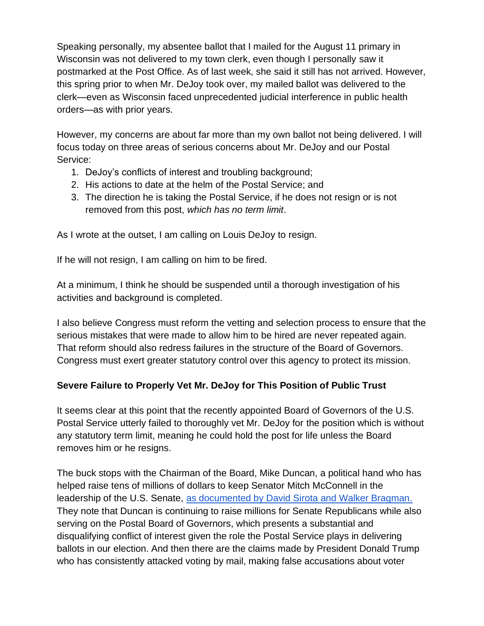Speaking personally, my absentee ballot that I mailed for the August 11 primary in Wisconsin was not delivered to my town clerk, even though I personally saw it postmarked at the Post Office. As of last week, she said it still has not arrived. However, this spring prior to when Mr. DeJoy took over, my mailed ballot was delivered to the clerk—even as Wisconsin faced unprecedented judicial interference in public health orders—as with prior years.

However, my concerns are about far more than my own ballot not being delivered. I will focus today on three areas of serious concerns about Mr. DeJoy and our Postal Service:

- 1. DeJoy's conflicts of interest and troubling background;
- 2. His actions to date at the helm of the Postal Service; and
- 3. The direction he is taking the Postal Service, if he does not resign or is not removed from this post, *which has no term limit*.

As I wrote at the outset, I am calling on Louis DeJoy to resign.

If he will not resign, I am calling on him to be fired.

At a minimum, I think he should be suspended until a thorough investigation of his activities and background is completed.

I also believe Congress must reform the vetting and selection process to ensure that the serious mistakes that were made to allow him to be hired are never repeated again. That reform should also redress failures in the structure of the Board of Governors. Congress must exert greater statutory control over this agency to protect its mission.

## **Severe Failure to Properly Vet Mr. DeJoy for This Position of Public Trust**

It seems clear at this point that the recently appointed Board of Governors of the U.S. Postal Service utterly failed to thoroughly vet Mr. DeJoy for the position which is without any statutory term limit, meaning he could hold the post for life unless the Board removes him or he resigns.

The buck stops with the Chairman of the Board, Mike Duncan, a political hand who has helped raise tens of millions of dollars to keep Senator Mitch McConnell in the leadership of the U.S. Senate, [as documented by David Sirota and Walker Bragman.](https://sirota.substack.com/p/trumps-usps-chair-grilled-after-tmi) They note that Duncan is continuing to raise millions for Senate Republicans while also serving on the Postal Board of Governors, which presents a substantial and disqualifying conflict of interest given the role the Postal Service plays in delivering ballots in our election. And then there are the claims made by President Donald Trump who has consistently attacked voting by mail, making false accusations about voter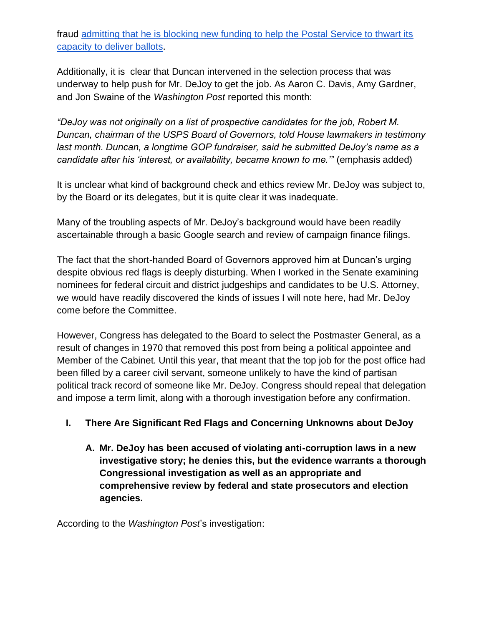fraud [admitting that he is blocking new funding to help the Postal Service to thwart its](https://apnews.com/14a2ceda724623604cc8d8e5ab9890ed)  [capacity to deliver ballots.](https://apnews.com/14a2ceda724623604cc8d8e5ab9890ed)

Additionally, it is clear that Duncan intervened in the selection process that was underway to help push for Mr. DeJoy to get the job. As Aaron C. Davis, Amy Gardner, and Jon Swaine of the *Washington Post* reported this month:

*"DeJoy was not originally on a list of prospective candidates for the job, Robert M. Duncan, chairman of the USPS Board of Governors, told House lawmakers in testimony*  last month. Duncan, a longtime GOP fundraiser, said he submitted DeJoy's name as a *candidate after his 'interest, or availability, became known to me.*" (emphasis added)

It is unclear what kind of background check and ethics review Mr. DeJoy was subject to, by the Board or its delegates, but it is quite clear it was inadequate.

Many of the troubling aspects of Mr. DeJoy's background would have been readily ascertainable through a basic Google search and review of campaign finance filings.

The fact that the short-handed Board of Governors approved him at Duncan's urging despite obvious red flags is deeply disturbing. When I worked in the Senate examining nominees for federal circuit and district judgeships and candidates to be U.S. Attorney, we would have readily discovered the kinds of issues I will note here, had Mr. DeJoy come before the Committee.

However, Congress has delegated to the Board to select the Postmaster General, as a result of changes in 1970 that removed this post from being a political appointee and Member of the Cabinet. Until this year, that meant that the top job for the post office had been filled by a career civil servant, someone unlikely to have the kind of partisan political track record of someone like Mr. DeJoy. Congress should repeal that delegation and impose a term limit, along with a thorough investigation before any confirmation.

## **I. There Are Significant Red Flags and Concerning Unknowns about DeJoy**

**A. Mr. DeJoy has been accused of violating anti-corruption laws in a new investigative story; he denies this, but the evidence warrants a thorough Congressional investigation as well as an appropriate and comprehensive review by federal and state prosecutors and election agencies.**

According to the *Washington Post*'s investigation: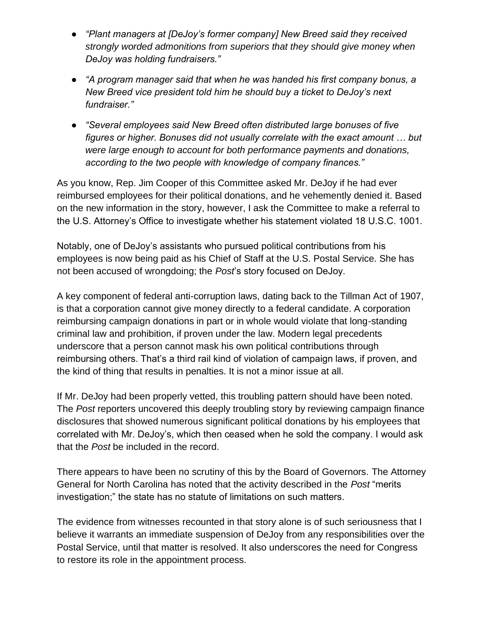- *"Plant managers at [DeJoy's former company] New Breed said they received strongly worded admonitions from superiors that they should give money when DeJoy was holding fundraisers."*
- *"A program manager said that when he was handed his first company bonus, a New Breed vice president told him he should buy a ticket to DeJoy's next fundraiser."*
- *"Several employees said New Breed often distributed large bonuses of five figures or higher. Bonuses did not usually correlate with the exact amount … but were large enough to account for both performance payments and donations, according to the two people with knowledge of company finances."*

As you know, Rep. Jim Cooper of this Committee asked Mr. DeJoy if he had ever reimbursed employees for their political donations, and he vehemently denied it. Based on the new information in the story, however, I ask the Committee to make a referral to the U.S. Attorney's Office to investigate whether his statement violated 18 U.S.C. 1001.

Notably, one of DeJoy's assistants who pursued political contributions from his employees is now being paid as his Chief of Staff at the U.S. Postal Service. She has not been accused of wrongdoing; the *Post*'s story focused on DeJoy.

A key component of federal anti-corruption laws, dating back to the Tillman Act of 1907, is that a corporation cannot give money directly to a federal candidate. A corporation reimbursing campaign donations in part or in whole would violate that long-standing criminal law and prohibition, if proven under the law. Modern legal precedents underscore that a person cannot mask his own political contributions through reimbursing others. That's a third rail kind of violation of campaign laws, if proven, and the kind of thing that results in penalties. It is not a minor issue at all.

If Mr. DeJoy had been properly vetted, this troubling pattern should have been noted. The *Post* reporters uncovered this deeply troubling story by reviewing campaign finance disclosures that showed numerous significant political donations by his employees that correlated with Mr. DeJoy's, which then ceased when he sold the company. I would ask that the *Post* be included in the record.

There appears to have been no scrutiny of this by the Board of Governors. The Attorney General for North Carolina has noted that the activity described in the *Post* "merits investigation;" the state has no statute of limitations on such matters.

The evidence from witnesses recounted in that story alone is of such seriousness that I believe it warrants an immediate suspension of DeJoy from any responsibilities over the Postal Service, until that matter is resolved. It also underscores the need for Congress to restore its role in the appointment process.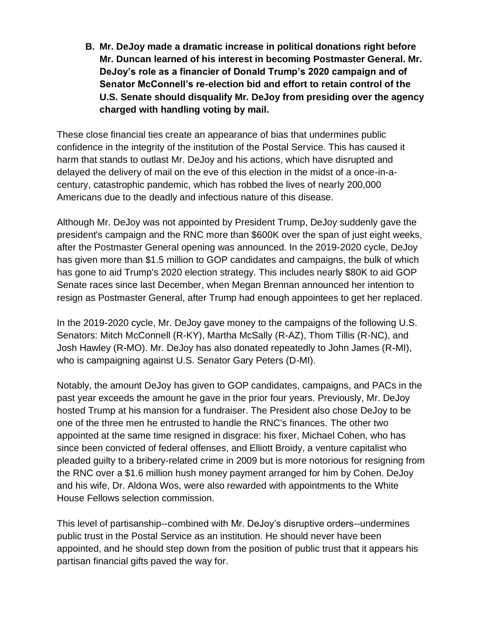**B. Mr. DeJoy made a dramatic increase in political donations right before Mr. Duncan learned of his interest in becoming Postmaster General. Mr. DeJoy's role as a financier of Donald Trump's 2020 campaign and of Senator McConnell's re-election bid and effort to retain control of the U.S. Senate should disqualify Mr. DeJoy from presiding over the agency charged with handling voting by mail.**

These close financial ties create an appearance of bias that undermines public confidence in the integrity of the institution of the Postal Service. This has caused it harm that stands to outlast Mr. DeJoy and his actions, which have disrupted and delayed the delivery of mail on the eve of this election in the midst of a once-in-acentury, catastrophic pandemic, which has robbed the lives of nearly 200,000 Americans due to the deadly and infectious nature of this disease.

Although Mr. DeJoy was not appointed by President Trump, DeJoy suddenly gave the president's campaign and the RNC more than \$600K over the span of just eight weeks, after the Postmaster General opening was announced. In the 2019-2020 cycle, DeJoy has given more than \$1.5 million to GOP candidates and campaigns, the bulk of which has gone to aid Trump's 2020 election strategy. This includes nearly \$80K to aid GOP Senate races since last December, when Megan Brennan announced her intention to resign as Postmaster General, after Trump had enough appointees to get her replaced.

In the 2019-2020 cycle, Mr. DeJoy gave money to the campaigns of the following U.S. Senators: Mitch McConnell (R-KY), Martha McSally (R-AZ), Thom Tillis (R-NC), and Josh Hawley (R-MO). Mr. DeJoy has also donated repeatedly to John James (R-MI), who is campaigning against U.S. Senator Gary Peters (D-MI).

Notably, the amount DeJoy has given to GOP candidates, campaigns, and PACs in the past year exceeds the amount he gave in the prior four years. Previously, Mr. DeJoy hosted Trump at his mansion for a fundraiser. The President also chose DeJoy to be one of the three men he entrusted to handle the RNC's finances. The other two appointed at the same time resigned in disgrace: his fixer, Michael Cohen, who has since been convicted of federal offenses, and Elliott Broidy, a venture capitalist who pleaded guilty to a bribery-related crime in 2009 but is more notorious for resigning from the RNC over a \$1.6 million hush money payment arranged for him by Cohen. DeJoy and his wife, Dr. Aldona Wos, were also rewarded with appointments to the White House Fellows selection commission.

This level of partisanship--combined with Mr. DeJoy's disruptive orders--undermines public trust in the Postal Service as an institution. He should never have been appointed, and he should step down from the position of public trust that it appears his partisan financial gifts paved the way for.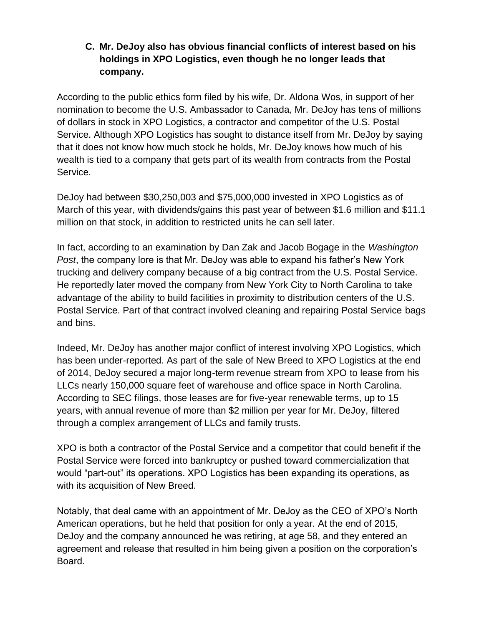#### **C. Mr. DeJoy also has obvious financial conflicts of interest based on his holdings in XPO Logistics, even though he no longer leads that company.**

According to the public ethics form filed by his wife, Dr. Aldona Wos, in support of her nomination to become the U.S. Ambassador to Canada, Mr. DeJoy has tens of millions of dollars in stock in XPO Logistics, a contractor and competitor of the U.S. Postal Service. Although XPO Logistics has sought to distance itself from Mr. DeJoy by saying that it does not know how much stock he holds, Mr. DeJoy knows how much of his wealth is tied to a company that gets part of its wealth from contracts from the Postal Service.

DeJoy had between \$30,250,003 and \$75,000,000 invested in XPO Logistics as of March of this year, with dividends/gains this past year of between \$1.6 million and \$11.1 million on that stock, in addition to restricted units he can sell later.

In fact, according to an examination by Dan Zak and Jacob Bogage in the *Washington Post*, the company lore is that Mr. DeJoy was able to expand his father's New York trucking and delivery company because of a big contract from the U.S. Postal Service. He reportedly later moved the company from New York City to North Carolina to take advantage of the ability to build facilities in proximity to distribution centers of the U.S. Postal Service. Part of that contract involved cleaning and repairing Postal Service bags and bins.

Indeed, Mr. DeJoy has another major conflict of interest involving XPO Logistics, which has been under-reported. As part of the sale of New Breed to XPO Logistics at the end of 2014, DeJoy secured a major long-term revenue stream from XPO to lease from his LLCs nearly 150,000 square feet of warehouse and office space in North Carolina. According to SEC filings, those leases are for five-year renewable terms, up to 15 years, with annual revenue of more than \$2 million per year for Mr. DeJoy, filtered through a complex arrangement of LLCs and family trusts.

XPO is both a contractor of the Postal Service and a competitor that could benefit if the Postal Service were forced into bankruptcy or pushed toward commercialization that would "part-out" its operations. XPO Logistics has been expanding its operations, as with its acquisition of New Breed.

Notably, that deal came with an appointment of Mr. DeJoy as the CEO of XPO's North American operations, but he held that position for only a year. At the end of 2015, DeJoy and the company announced he was retiring, at age 58, and they entered an agreement and release that resulted in him being given a position on the corporation's Board.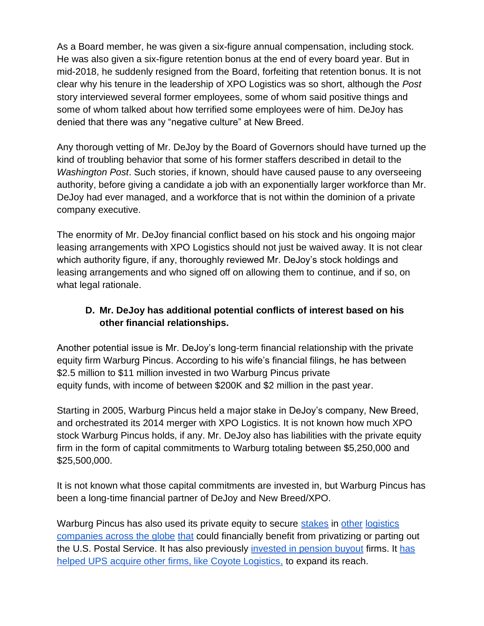As a Board member, he was given a six-figure annual compensation, including stock. He was also given a six-figure retention bonus at the end of every board year. But in mid-2018, he suddenly resigned from the Board, forfeiting that retention bonus. It is not clear why his tenure in the leadership of XPO Logistics was so short, although the *Post* story interviewed several former employees, some of whom said positive things and some of whom talked about how terrified some employees were of him. DeJoy has denied that there was any "negative culture" at New Breed.

Any thorough vetting of Mr. DeJoy by the Board of Governors should have turned up the kind of troubling behavior that some of his former staffers described in detail to the *Washington Post*. Such stories, if known, should have caused pause to any overseeing authority, before giving a candidate a job with an exponentially larger workforce than Mr. DeJoy had ever managed, and a workforce that is not within the dominion of a private company executive.

The enormity of Mr. DeJoy financial conflict based on his stock and his ongoing major leasing arrangements with XPO Logistics should not just be waived away. It is not clear which authority figure, if any, thoroughly reviewed Mr. DeJoy's stock holdings and leasing arrangements and who signed off on allowing them to continue, and if so, on what legal rationale.

## **D. Mr. DeJoy has additional potential conflicts of interest based on his other financial relationships.**

Another potential issue is Mr. DeJoy's long-term financial relationship with the private equity firm Warburg Pincus. According to his wife's financial filings, he has between \$2.5 million to \$11 million invested in two Warburg Pincus private equity funds, with income of between \$200K and \$2 million in the past year.

Starting in 2005, Warburg Pincus held a major stake in DeJoy's company, New Breed, and orchestrated its 2014 merger with XPO Logistics. It is not known how much XPO stock Warburg Pincus holds, if any. Mr. DeJoy also has liabilities with the private equity firm in the form of capital commitments to Warburg totaling between \$5,250,000 and \$25,500,000.

It is not known what those capital commitments are invested in, but Warburg Pincus has been a long-time financial partner of DeJoy and New Breed/XPO.

Warburg Pincus has also used its private equity to secur[e](https://www.warburgpincus.com/investments/bluegrace-logistics/) [stakes](https://www.warburgpincus.com/investments/bluegrace-logistics/) in [other](https://postandparcel.info/65505/news/warburg-pincus-plans-to-invest-133m-in-ecom-express/) [logistics](https://www.logisticsmgmt.com/article/softeon_announces_investment_from_warburg_pincus) [companies](https://pitchbook.com/newsletter/warburg-pincus-devotes-800m-to-logistics) [across the globe](https://airfreight.news/articles/full/allcargo-in-talks-to-acquire-goldman-backed-india-firm) [that](https://airfreight.news/articles/full/vietnam-becomes-a-victim-of-its-own-success-in-trade-war) could financially benefit from privatizing or parting out the U.S. Postal Service. It has also previously [invested in pension buyout](https://www.ipe.com/royal-mail-scheme-chairman-joins-synesis/19849.article) firms. I[t](https://postandparcel.info/66478/news/ups-reportedly-in-talks-to-buy-coyote-logistics/) [has](https://postandparcel.info/66478/news/ups-reportedly-in-talks-to-buy-coyote-logistics/)  [helped UPS acquire other firms, like Coyote Logistics,](https://postandparcel.info/66478/news/ups-reportedly-in-talks-to-buy-coyote-logistics/) to expand its reach.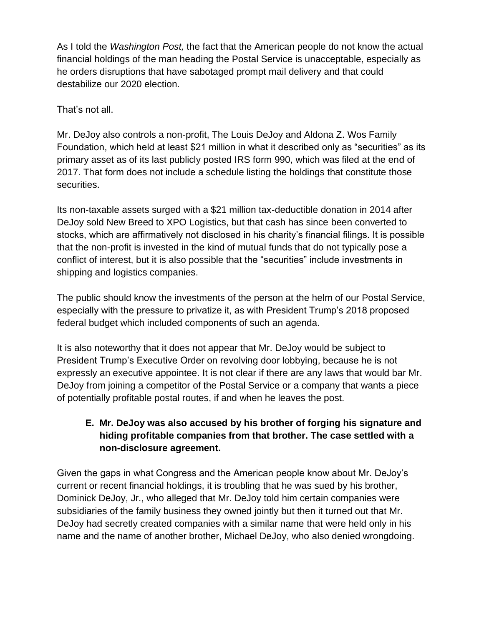As I told the *Washington Post,* the fact that the American people do not know the actual financial holdings of the man heading the Postal Service is unacceptable, especially as he orders disruptions that have sabotaged prompt mail delivery and that could destabilize our 2020 election.

That's not all.

Mr. DeJoy also controls a non-profit, The Louis DeJoy and Aldona Z. Wos Family Foundation, which held at least \$21 million in what it described only as "securities" as its primary asset as of its last publicly posted IRS form 990, which was filed at the end of 2017. That form does not include a schedule listing the holdings that constitute those securities.

Its non-taxable assets surged with a \$21 million tax-deductible donation in 2014 after DeJoy sold New Breed to XPO Logistics, but that cash has since been converted to stocks, which are affirmatively not disclosed in his charity's financial filings. It is possible that the non-profit is invested in the kind of mutual funds that do not typically pose a conflict of interest, but it is also possible that the "securities" include investments in shipping and logistics companies.

The public should know the investments of the person at the helm of our Postal Service, especially with the pressure to privatize it, as with President Trump's 2018 proposed federal budget which included components of such an agenda.

It is also noteworthy that it does not appear that Mr. DeJoy would be subject to President Trump's Executive Order on revolving door lobbying, because he is not expressly an executive appointee. It is not clear if there are any laws that would bar Mr. DeJoy from joining a competitor of the Postal Service or a company that wants a piece of potentially profitable postal routes, if and when he leaves the post.

## **E. Mr. DeJoy was also accused by his brother of forging his signature and hiding profitable companies from that brother. The case settled with a non-disclosure agreement.**

Given the gaps in what Congress and the American people know about Mr. DeJoy's current or recent financial holdings, it is troubling that he was sued by his brother, Dominick DeJoy, Jr., who alleged that Mr. DeJoy told him certain companies were subsidiaries of the family business they owned jointly but then it turned out that Mr. DeJoy had secretly created companies with a similar name that were held only in his name and the name of another brother, Michael DeJoy, who also denied wrongdoing.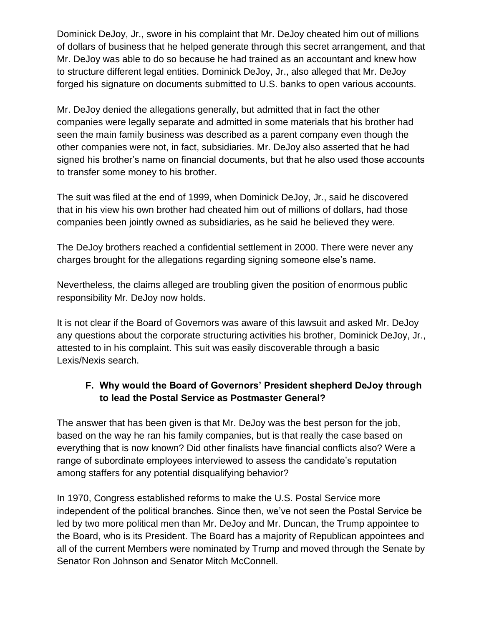Dominick DeJoy, Jr., swore in his complaint that Mr. DeJoy cheated him out of millions of dollars of business that he helped generate through this secret arrangement, and that Mr. DeJoy was able to do so because he had trained as an accountant and knew how to structure different legal entities. Dominick DeJoy, Jr., also alleged that Mr. DeJoy forged his signature on documents submitted to U.S. banks to open various accounts.

Mr. DeJoy denied the allegations generally, but admitted that in fact the other companies were legally separate and admitted in some materials that his brother had seen the main family business was described as a parent company even though the other companies were not, in fact, subsidiaries. Mr. DeJoy also asserted that he had signed his brother's name on financial documents, but that he also used those accounts to transfer some money to his brother.

The suit was filed at the end of 1999, when Dominick DeJoy, Jr., said he discovered that in his view his own brother had cheated him out of millions of dollars, had those companies been jointly owned as subsidiaries, as he said he believed they were.

The DeJoy brothers reached a confidential settlement in 2000. There were never any charges brought for the allegations regarding signing someone else's name.

Nevertheless, the claims alleged are troubling given the position of enormous public responsibility Mr. DeJoy now holds.

It is not clear if the Board of Governors was aware of this lawsuit and asked Mr. DeJoy any questions about the corporate structuring activities his brother, Dominick DeJoy, Jr., attested to in his complaint. This suit was easily discoverable through a basic Lexis/Nexis search.

## **F. Why would the Board of Governors' President shepherd DeJoy through to lead the Postal Service as Postmaster General?**

The answer that has been given is that Mr. DeJoy was the best person for the job, based on the way he ran his family companies, but is that really the case based on everything that is now known? Did other finalists have financial conflicts also? Were a range of subordinate employees interviewed to assess the candidate's reputation among staffers for any potential disqualifying behavior?

In 1970, Congress established reforms to make the U.S. Postal Service more independent of the political branches. Since then, we've not seen the Postal Service be led by two more political men than Mr. DeJoy and Mr. Duncan, the Trump appointee to the Board, who is its President. The Board has a majority of Republican appointees and all of the current Members were nominated by Trump and moved through the Senate by Senator Ron Johnson and Senator Mitch McConnell.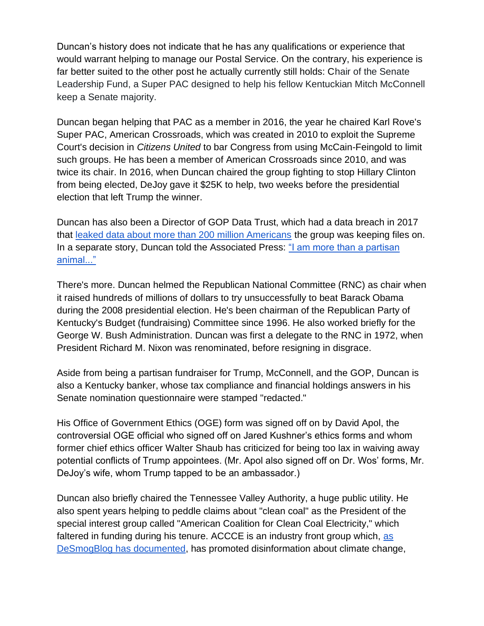Duncan's history does not indicate that he has any qualifications or experience that would warrant helping to manage our Postal Service. On the contrary, his experience is far better suited to the other post he actually currently still holds: Chair of the Senate Leadership Fund, a Super PAC designed to help his fellow Kentuckian Mitch McConnell keep a Senate majority.

Duncan began helping that PAC as a member in 2016, the year he chaired Karl Rove's Super PAC, American Crossroads, which was created in 2010 to exploit the Supreme Court's decision in *Citizens United* to bar Congress from using McCain-Feingold to limit such groups. He has been a member of American Crossroads since 2010, and was twice its chair. In 2016, when Duncan chaired the group fighting to stop Hillary Clinton from being elected, DeJoy gave it \$25K to help, two weeks before the presidential election that left Trump the winner.

Duncan has also been a Director of GOP Data Trust, which had a data breach in 2017 that [leaked data about more than 200 million Americans](https://gizmodo.com/gop-data-firm-accidentally-leaks-personal-details-of-ne-1796211612) the group was keeping files on. In a separate story, Duncan told the Associated Press: "I am more than a partisan [animal..."](https://www.huffpost.com/entry/mike-duncan-tvas-new-chai_n_167175)

There's more. Duncan helmed the Republican National Committee (RNC) as chair when it raised hundreds of millions of dollars to try unsuccessfully to beat Barack Obama during the 2008 presidential election. He's been chairman of the Republican Party of Kentucky's Budget (fundraising) Committee since 1996. He also worked briefly for the George W. Bush Administration. Duncan was first a delegate to the RNC in 1972, when President Richard M. Nixon was renominated, before resigning in disgrace.

Aside from being a partisan fundraiser for Trump, McConnell, and the GOP, Duncan is also a Kentucky banker, whose tax compliance and financial holdings answers in his Senate nomination questionnaire were stamped "redacted."

His Office of Government Ethics (OGE) form was signed off on by David Apol, the controversial OGE official who signed off on Jared Kushner's ethics forms and whom former chief ethics officer Walter Shaub has criticized for being too lax in waiving away potential conflicts of Trump appointees. (Mr. Apol also signed off on Dr. Wos' forms, Mr. DeJoy's wife, whom Trump tapped to be an ambassador.)

Duncan also briefly chaired the Tennessee Valley Authority, a huge public utility. He also spent years helping to peddle claims about "clean coal" as the President of the special interest group called "American Coalition for Clean Coal Electricity," which faltered in funding during his tenure. ACCCE is an industry front group which[,](https://www.desmogblog.com/american-coalition-clean-coal-electricity) [as](https://www.desmogblog.com/american-coalition-clean-coal-electricity)  [DeSmogBlog has documented,](https://www.desmogblog.com/american-coalition-clean-coal-electricity) has promoted disinformation about climate change,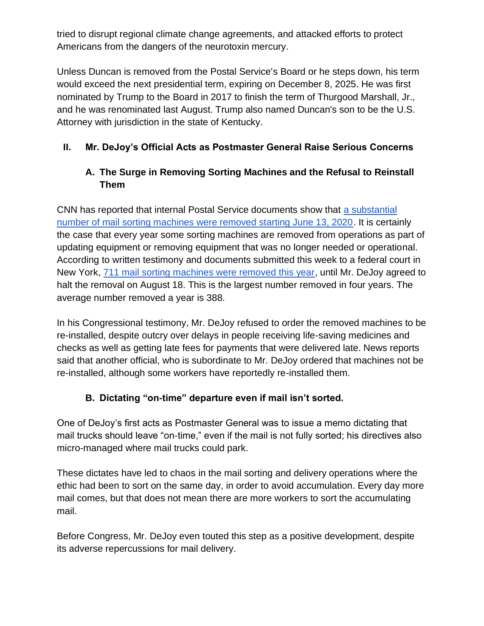tried to disrupt regional climate change agreements, and attacked efforts to protect Americans from the dangers of the neurotoxin mercury.

Unless Duncan is removed from the Postal Service's Board or he steps down, his term would exceed the next presidential term, expiring on December 8, 2025. He was first nominated by Trump to the Board in 2017 to finish the term of Thurgood Marshall, Jr., and he was renominated last August. Trump also named Duncan's son to be the U.S. Attorney with jurisdiction in the state of Kentucky.

## **II. Mr. DeJoy's Official Acts as Postmaster General Raise Serious Concerns**

## **A. The Surge in Removing Sorting Machines and the Refusal to Reinstall Them**

CNN has reported that internal Postal Service documents show that [a substantial](https://www.cnn.com/2020/08/21/politics/usps-mail-sorting-machines-photos-trnd/index.html)  [number of mail sorting machines were removed starting June 13, 2020.](https://www.cnn.com/2020/08/21/politics/usps-mail-sorting-machines-photos-trnd/index.html) It is certainly the case that every year some sorting machines are removed from operations as part of updating equipment or removing equipment that was no longer needed or operational. According to written testimony and documents submitted this week to a federal court in New York, [711 mail sorting machines were removed this year,](https://www.cnn.com/2020/09/09/politics/usps-removed-711-sorting-machines/index.html) until Mr. DeJoy agreed to halt the removal on August 18. This is the largest number removed in four years. The average number removed a year is 388.

In his Congressional testimony, Mr. DeJoy refused to order the removed machines to be re-installed, despite outcry over delays in people receiving life-saving medicines and checks as well as getting late fees for payments that were delivered late. News reports said that another official, who is subordinate to Mr. DeJoy ordered that machines not be re-installed, although some workers have reportedly re-installed them.

## **B. Dictating "on-time" departure even if mail isn't sorted.**

One of DeJoy's first acts as Postmaster General was to issue a memo dictating that mail trucks should leave "on-time," even if the mail is not fully sorted; his directives also micro-managed where mail trucks could park.

These dictates have led to chaos in the mail sorting and delivery operations where the ethic had been to sort on the same day, in order to avoid accumulation. Every day more mail comes, but that does not mean there are more workers to sort the accumulating mail.

Before Congress, Mr. DeJoy even touted this step as a positive development, despite its adverse repercussions for mail delivery.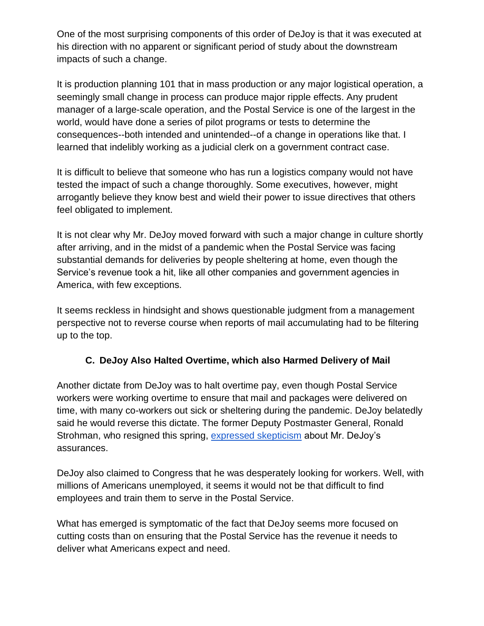One of the most surprising components of this order of DeJoy is that it was executed at his direction with no apparent or significant period of study about the downstream impacts of such a change.

It is production planning 101 that in mass production or any major logistical operation, a seemingly small change in process can produce major ripple effects. Any prudent manager of a large-scale operation, and the Postal Service is one of the largest in the world, would have done a series of pilot programs or tests to determine the consequences--both intended and unintended--of a change in operations like that. I learned that indelibly working as a judicial clerk on a government contract case.

It is difficult to believe that someone who has run a logistics company would not have tested the impact of such a change thoroughly. Some executives, however, might arrogantly believe they know best and wield their power to issue directives that others feel obligated to implement.

It is not clear why Mr. DeJoy moved forward with such a major change in culture shortly after arriving, and in the midst of a pandemic when the Postal Service was facing substantial demands for deliveries by people sheltering at home, even though the Service's revenue took a hit, like all other companies and government agencies in America, with few exceptions.

It seems reckless in hindsight and shows questionable judgment from a management perspective not to reverse course when reports of mail accumulating had to be filtering up to the top.

## **C. DeJoy Also Halted Overtime, which also Harmed Delivery of Mail**

Another dictate from DeJoy was to halt overtime pay, even though Postal Service workers were working overtime to ensure that mail and packages were delivered on time, with many co-workers out sick or sheltering during the pandemic. DeJoy belatedly said he would reverse this dictate. The former Deputy Postmaster General, Ronald Strohman, who resigned this spring, [expressed skepticism](https://docs.google.com/document/d/1X87wxRuvNbTAZtd4zFi-JfVFbAN71z2XCFnrZAWB-6c/edit?usp=sharing) about Mr. DeJoy's assurances.

DeJoy also claimed to Congress that he was desperately looking for workers. Well, with millions of Americans unemployed, it seems it would not be that difficult to find employees and train them to serve in the Postal Service.

What has emerged is symptomatic of the fact that DeJoy seems more focused on cutting costs than on ensuring that the Postal Service has the revenue it needs to deliver what Americans expect and need.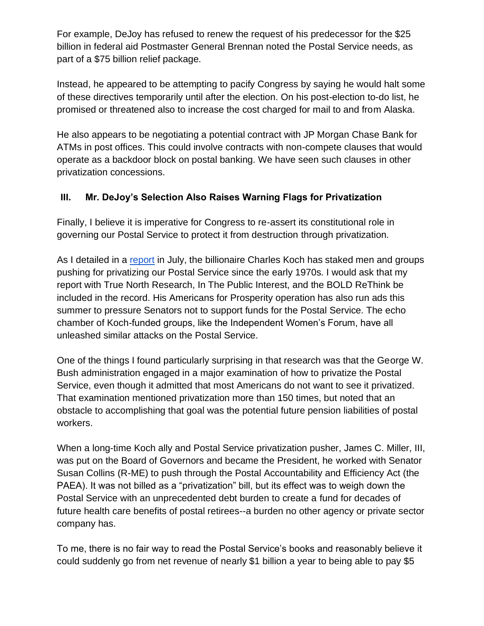For example, DeJoy has refused to renew the request of his predecessor for the \$25 billion in federal aid Postmaster General Brennan noted the Postal Service needs, as part of a \$75 billion relief package.

Instead, he appeared to be attempting to pacify Congress by saying he would halt some of these directives temporarily until after the election. On his post-election to-do list, he promised or threatened also to increase the cost charged for mail to and from Alaska.

He also appears to be negotiating a potential contract with JP Morgan Chase Bank for ATMs in post offices. This could involve contracts with non-compete clauses that would operate as a backdoor block on postal banking. We have seen such clauses in other privatization concessions.

## **III. Mr. DeJoy's Selection Also Raises Warning Flags for Privatization**

Finally, I believe it is imperative for Congress to re-assert its constitutional role in governing our Postal Service to protect it from destruction through privatization.

As I detailed in a [report](https://www.inthepublicinterest.org/wp-content/uploads/ITPI_USPSPrivatization_July2020.pdf) in July, the billionaire Charles Koch has staked men and groups pushing for privatizing our Postal Service since the early 1970s. I would ask that my report with True North Research, In The Public Interest, and the BOLD ReThink be included in the record. His Americans for Prosperity operation has also run ads this summer to pressure Senators not to support funds for the Postal Service. The echo chamber of Koch-funded groups, like the Independent Women's Forum, have all unleashed similar attacks on the Postal Service.

One of the things I found particularly surprising in that research was that the George W. Bush administration engaged in a major examination of how to privatize the Postal Service, even though it admitted that most Americans do not want to see it privatized. That examination mentioned privatization more than 150 times, but noted that an obstacle to accomplishing that goal was the potential future pension liabilities of postal workers.

When a long-time Koch ally and Postal Service privatization pusher, James C. Miller, III, was put on the Board of Governors and became the President, he worked with Senator Susan Collins (R-ME) to push through the Postal Accountability and Efficiency Act (the PAEA). It was not billed as a "privatization" bill, but its effect was to weigh down the Postal Service with an unprecedented debt burden to create a fund for decades of future health care benefits of postal retirees--a burden no other agency or private sector company has.

To me, there is no fair way to read the Postal Service's books and reasonably believe it could suddenly go from net revenue of nearly \$1 billion a year to being able to pay \$5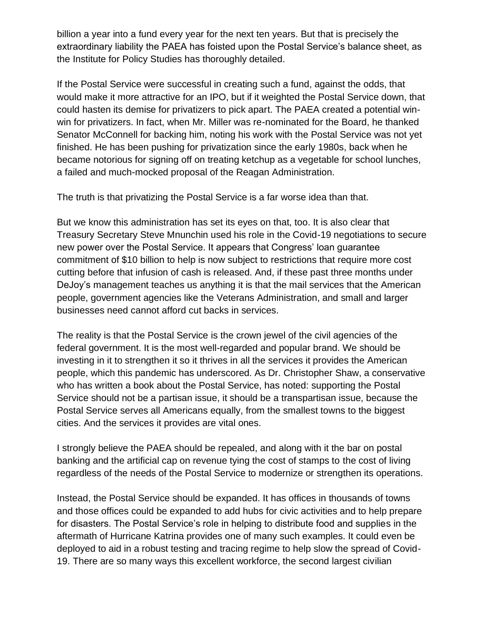billion a year into a fund every year for the next ten years. But that is precisely the extraordinary liability the PAEA has foisted upon the Postal Service's balance sheet, as the Institute for Policy Studies has thoroughly detailed.

If the Postal Service were successful in creating such a fund, against the odds, that would make it more attractive for an IPO, but if it weighted the Postal Service down, that could hasten its demise for privatizers to pick apart. The PAEA created a potential winwin for privatizers. In fact, when Mr. Miller was re-nominated for the Board, he thanked Senator McConnell for backing him, noting his work with the Postal Service was not yet finished. He has been pushing for privatization since the early 1980s, back when he became notorious for signing off on treating ketchup as a vegetable for school lunches, a failed and much-mocked proposal of the Reagan Administration.

The truth is that privatizing the Postal Service is a far worse idea than that.

But we know this administration has set its eyes on that, too. It is also clear that Treasury Secretary Steve Mnunchin used his role in the Covid-19 negotiations to secure new power over the Postal Service. It appears that Congress' loan guarantee commitment of \$10 billion to help is now subject to restrictions that require more cost cutting before that infusion of cash is released. And, if these past three months under DeJoy's management teaches us anything it is that the mail services that the American people, government agencies like the Veterans Administration, and small and larger businesses need cannot afford cut backs in services.

The reality is that the Postal Service is the crown jewel of the civil agencies of the federal government. It is the most well-regarded and popular brand. We should be investing in it to strengthen it so it thrives in all the services it provides the American people, which this pandemic has underscored. As Dr. Christopher Shaw, a conservative who has written a book about the Postal Service, has noted: supporting the Postal Service should not be a partisan issue, it should be a transpartisan issue, because the Postal Service serves all Americans equally, from the smallest towns to the biggest cities. And the services it provides are vital ones.

I strongly believe the PAEA should be repealed, and along with it the bar on postal banking and the artificial cap on revenue tying the cost of stamps to the cost of living regardless of the needs of the Postal Service to modernize or strengthen its operations.

Instead, the Postal Service should be expanded. It has offices in thousands of towns and those offices could be expanded to add hubs for civic activities and to help prepare for disasters. The Postal Service's role in helping to distribute food and supplies in the aftermath of Hurricane Katrina provides one of many such examples. It could even be deployed to aid in a robust testing and tracing regime to help slow the spread of Covid-19. There are so many ways this excellent workforce, the second largest civilian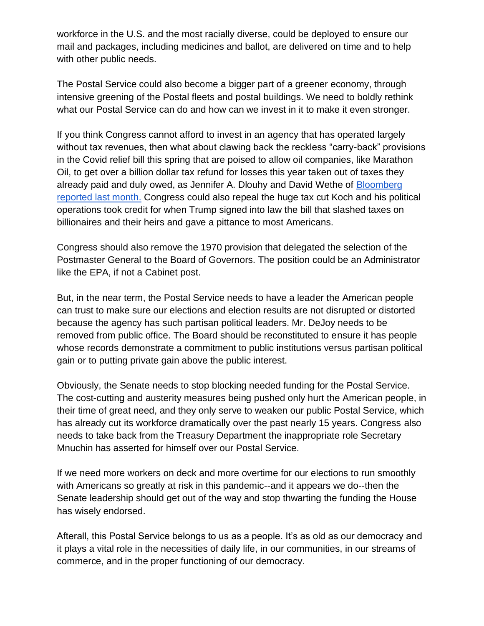workforce in the U.S. and the most racially diverse, could be deployed to ensure our mail and packages, including medicines and ballot, are delivered on time and to help with other public needs.

The Postal Service could also become a bigger part of a greener economy, through intensive greening of the Postal fleets and postal buildings. We need to boldly rethink what our Postal Service can do and how can we invest in it to make it even stronger.

If you think Congress cannot afford to invest in an agency that has operated largely without tax revenues, then what about clawing back the reckless "carry-back" provisions in the Covid relief bill this spring that are poised to allow oil companies, like Marathon Oil, to get over a billion dollar tax refund for losses this year taken out of taxes they already paid and duly owed, as Jennifer A. Dlouhy and David Wethe of [Bloomberg](https://www.bloomberg.com/news/articles/2020-08-10/marathon-poised-for-1-1-billion-tax-refund-from-coronavirus-aid)  [reported last month.](https://www.bloomberg.com/news/articles/2020-08-10/marathon-poised-for-1-1-billion-tax-refund-from-coronavirus-aid) Congress could also repeal the huge tax cut Koch and his political operations took credit for when Trump signed into law the bill that slashed taxes on billionaires and their heirs and gave a pittance to most Americans.

Congress should also remove the 1970 provision that delegated the selection of the Postmaster General to the Board of Governors. The position could be an Administrator like the EPA, if not a Cabinet post.

But, in the near term, the Postal Service needs to have a leader the American people can trust to make sure our elections and election results are not disrupted or distorted because the agency has such partisan political leaders. Mr. DeJoy needs to be removed from public office. The Board should be reconstituted to ensure it has people whose records demonstrate a commitment to public institutions versus partisan political gain or to putting private gain above the public interest.

Obviously, the Senate needs to stop blocking needed funding for the Postal Service. The cost-cutting and austerity measures being pushed only hurt the American people, in their time of great need, and they only serve to weaken our public Postal Service, which has already cut its workforce dramatically over the past nearly 15 years. Congress also needs to take back from the Treasury Department the inappropriate role Secretary Mnuchin has asserted for himself over our Postal Service.

If we need more workers on deck and more overtime for our elections to run smoothly with Americans so greatly at risk in this pandemic--and it appears we do--then the Senate leadership should get out of the way and stop thwarting the funding the House has wisely endorsed.

Afterall, this Postal Service belongs to us as a people. It's as old as our democracy and it plays a vital role in the necessities of daily life, in our communities, in our streams of commerce, and in the proper functioning of our democracy.